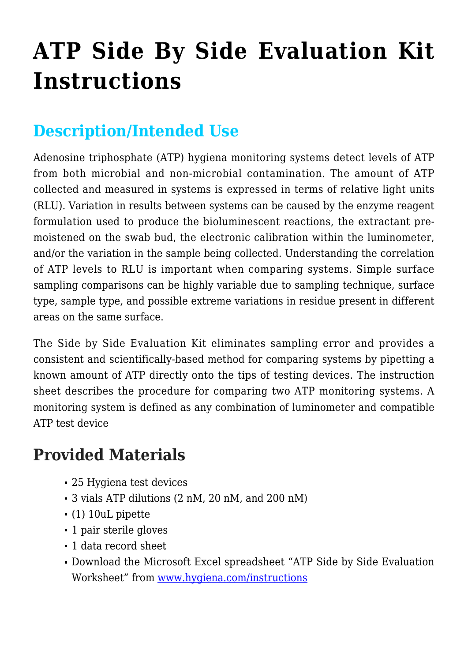# **[ATP Side By Side Evaluation Kit](https://help.hygiena.com/kb-doc/atp-side-by-side-evaluation-kit-instructions/) [Instructions](https://help.hygiena.com/kb-doc/atp-side-by-side-evaluation-kit-instructions/)**

## **Description/Intended Use**

Adenosine triphosphate (ATP) hygiena monitoring systems detect levels of ATP from both microbial and non-microbial contamination. The amount of ATP collected and measured in systems is expressed in terms of relative light units (RLU). Variation in results between systems can be caused by the enzyme reagent formulation used to produce the bioluminescent reactions, the extractant premoistened on the swab bud, the electronic calibration within the luminometer, and/or the variation in the sample being collected. Understanding the correlation of ATP levels to RLU is important when comparing systems. Simple surface sampling comparisons can be highly variable due to sampling technique, surface type, sample type, and possible extreme variations in residue present in different areas on the same surface.

The Side by Side Evaluation Kit eliminates sampling error and provides a consistent and scientifically-based method for comparing systems by pipetting a known amount of ATP directly onto the tips of testing devices. The instruction sheet describes the procedure for comparing two ATP monitoring systems. A monitoring system is defined as any combination of luminometer and compatible ATP test device

#### **Provided Materials**

- 25 Hygiena test devices
- 3 vials ATP dilutions (2 nM, 20 nM, and 200 nM)
- (1) 10uL pipette
- 1 pair sterile gloves
- 1 data record sheet
- Download the Microsoft Excel spreadsheet "ATP Side by Side Evaluation Worksheet" from [www.hygiena.com/instructions](https://www.hygiena.com/instructions.html)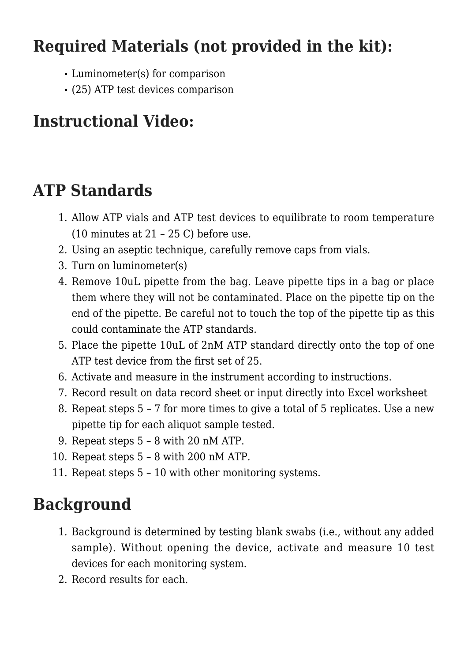#### **Required Materials (not provided in the kit):**

- Luminometer(s) for comparison
- (25) ATP test devices comparison

## **Instructional Video:**

#### **ATP Standards**

- 1. Allow ATP vials and ATP test devices to equilibrate to room temperature  $(10 \text{ minutes at } 21 - 25 \text{ C})$  before use.
- 2. Using an aseptic technique, carefully remove caps from vials.
- 3. Turn on luminometer(s)
- 4. Remove 10uL pipette from the bag. Leave pipette tips in a bag or place them where they will not be contaminated. Place on the pipette tip on the end of the pipette. Be careful not to touch the top of the pipette tip as this could contaminate the ATP standards.
- 5. Place the pipette 10uL of 2nM ATP standard directly onto the top of one ATP test device from the first set of 25.
- 6. Activate and measure in the instrument according to instructions.
- 7. Record result on data record sheet or input directly into Excel worksheet
- 8. Repeat steps 5 7 for more times to give a total of 5 replicates. Use a new pipette tip for each aliquot sample tested.
- 9. Repeat steps 5 8 with 20 nM ATP.
- 10. Repeat steps 5 8 with 200 nM ATP.
- 11. Repeat steps 5 10 with other monitoring systems.

## **Background**

- 1. Background is determined by testing blank swabs (i.e., without any added sample). Without opening the device, activate and measure 10 test devices for each monitoring system.
- 2. Record results for each.